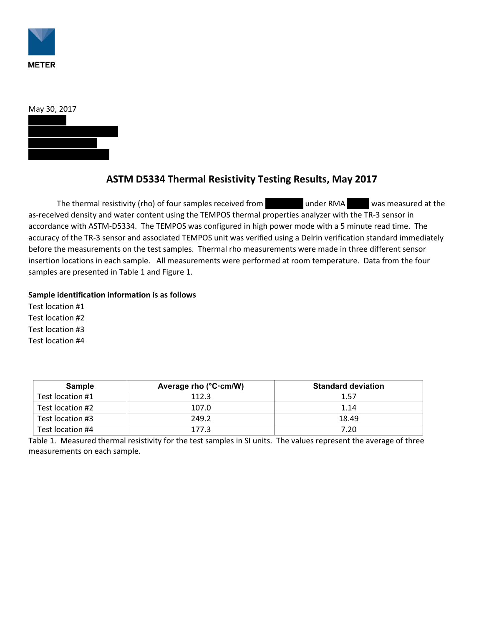



## **ASTM D5334 Thermal Resistivity Testing Results, May 2017**

The thermal resistivity (rho) of four samples received from Number RMA 2008 was measured at the as-received density and water content using the TEMPOS thermal properties analyzer with the TR-3 sensor in accordance with ASTM-D5334. The TEMPOS was configured in high power mode with a 5 minute read time. The accuracy of the TR-3 sensor and associated TEMPOS unit was verified using a Delrin verification standard immediately before the measurements on the test samples. Thermal rho measurements were made in three different sensor insertion locations in each sample. All measurements were performed at room temperature. Data from the four samples are presented in Table 1 and Figure 1.

## **Sample identification information is as follows**

Test location #1 Test location #2 Test location #3 Test location #4

| Sample           | Average rho $(^{\circ}C \cdot cm/W)$ | <b>Standard deviation</b> |
|------------------|--------------------------------------|---------------------------|
| Test location #1 | 112.3                                | 1.57                      |
| Test location #2 | 107.0                                | 1.14                      |
| Test location #3 | 249.2                                | 18.49                     |
| Test location #4 | 177.3                                | 7.20                      |

Table 1. Measured thermal resistivity for the test samples in SI units. The values represent the average of three measurements on each sample.